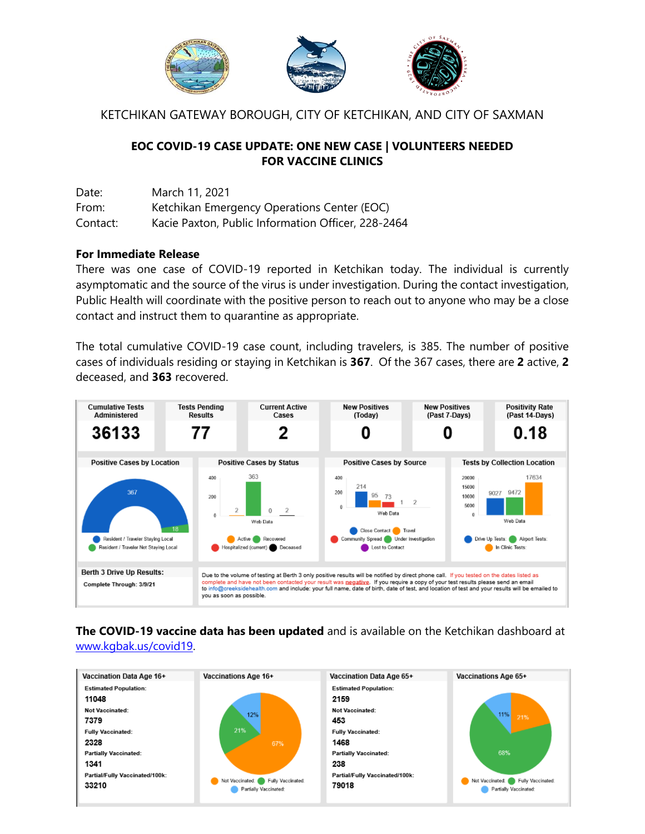

KETCHIKAN GATEWAY BOROUGH, CITY OF KETCHIKAN, AND CITY OF SAXMAN

### **EOC COVID-19 CASE UPDATE: ONE NEW CASE | VOLUNTEERS NEEDED FOR VACCINE CLINICS**

Date: March 11, 2021 From: Ketchikan Emergency Operations Center (EOC) Contact: Kacie Paxton, Public Information Officer, 228-2464

#### **For Immediate Release**

There was one case of COVID-19 reported in Ketchikan today. The individual is currently asymptomatic and the source of the virus is under investigation. During the contact investigation, Public Health will coordinate with the positive person to reach out to anyone who may be a close contact and instruct them to quarantine as appropriate.

The total cumulative COVID-19 case count, including travelers, is 385. The number of positive cases of individuals residing or staying in Ketchikan is **367**. Of the 367 cases, there are **2** active, **2** deceased, and **363** recovered.



# **The COVID-19 vaccine data has been updated** and is available on the Ketchikan dashboard at

[www.kgbak.us/covid19.](http://www.kgbak.us/covid19)